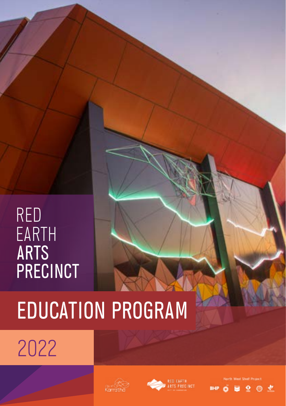## RED EARTH ARTS PRECINCT

# EDUCATION PROGRAM

2022





◕

 $\bullet$   $\bullet$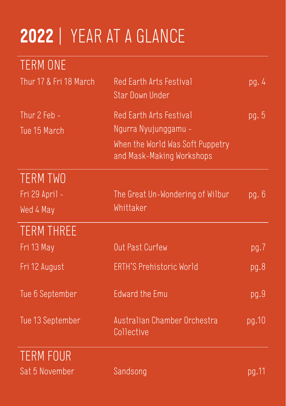## **2022** | YEAR AT A GLANCE

| TERM ONE                     |                                                                                                                  |         |
|------------------------------|------------------------------------------------------------------------------------------------------------------|---------|
| Thur 17 & Fri 18 March       | Red Earth Arts Festival<br><b>Star Down Under</b>                                                                | pg. $4$ |
| Thur 2 Feb -<br>Tue 15 March | Red Earth Arts Festival<br>Ngurra Nyujunggamu -<br>When the World Was Soft Puppetry<br>and Mask-Making Workshops | pg.5    |
| <b>TERM TWO</b>              |                                                                                                                  |         |
| Fri 29 April -               | The Great Un-Wondering of Wilbur                                                                                 | pg.6    |
| Wed 4 May                    | Whittaker                                                                                                        |         |
| <b>TERM THREE</b>            |                                                                                                                  |         |
| Fri 13 May                   | Out Past Curfew                                                                                                  | pg.7    |
| Fri 12 August                | ERTH'S Prehistoric World                                                                                         | pg.8    |
| Tue 6 September              | <b>Edward the Emu</b>                                                                                            | pg.9    |
| Tue 13 September             | Australian Chamber Orchestra<br>Collective                                                                       | pg.10   |
| <b>TERM FOUR</b>             |                                                                                                                  |         |
| Sat 5 November               | Sandsong                                                                                                         | pg.11   |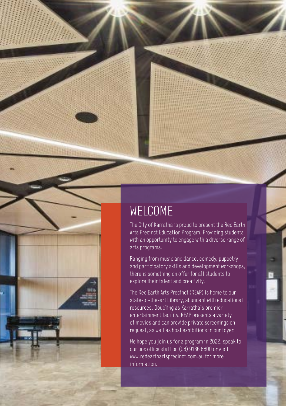

## WELCOME

The City of Karratha is proud to present the Red Earth Arts Precinct Education Program. Providing students with an opportunity to engage with a diverse range of arts programs.

Ranging from music and dance, comedy, puppetry and participatory skills and development workshops, there is something on offer for all students to explore their talent and creativity.

The Red Earth Arts Precinct (REAP) is home to our state-of-the-art Library, abundant with educational resources. Doubling as Karratha's premier entertainment facility, REAP presents a variety of movies and can provide private screenings on request, as well as host exhibitions in our foyer.

We hope you join us for a program in 2022, speak to our box office staff on (08) 9186 8600 or visit www.redearthartsprecinct.com.au for more information.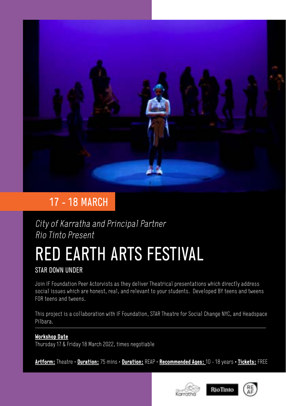

### 17 - 18 MARCH

City of Karratha and Principal Partner Rio Tinto Present

## RED EARTH ARTS FESTIVAL

STAR DOWN UNDER

Join IF Foundation Peer Actorvists as they deliver Theatrical presentations which directly address social issues which are honest, real, and relevant to your students. Developed BY teens and tweens FOR teens and tweens.

This project is a collaboration with IF Foundation, STAR Theatre for Social Change NYC, and Headspace Pilbara.

#### **Workshop Date**

Thursday 17 & Friday 18 March 2022, times negotiable

**Artform:** Theatre • **Duration:** 75 mins • **Duration:** REAP • **Recommended Ages:** 10 - 18 years **•Tickets:** FREE

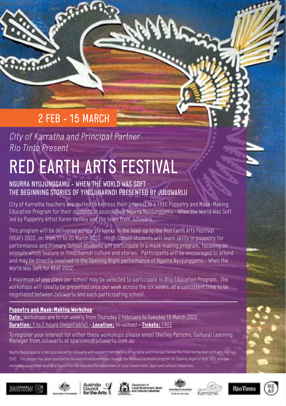## 2 FEB - 15 MARCH

### City of Karratha and Principal Partner Rio Tinto Present

## RED EARTH ARTS FESTIVAL

#### NGURRA NYUJUNGGAMU - WHEN THE WORLD WAS SOFT THE BEGINNING STORIES OF YINDJIBARNDI PRESENTED BY JULUWARLU

City of Karratha teachers are invited to express their interest in a FREE Puppetry and Mask-Making Education Program for their students in association Ngurra Nyujunggamu – When the World Was Soft led by Puppetry Artist Karen Hethey and the team from Juluwaru.

**RANGE OF** 

This program will be delivered across six weeks in the lead-up to the Red Earth Arts Festival (REAF) 2022, on from 17 to 20 March 2022. High School students will learn skills in puppetry for performance and Primary School students will participate in a mask making program, focusing on animals which feature in Yindjibarndi culture and stories. Participants will be encouraged to attend and may be directly involved in the Opening Night performance of Ngurra Nyujunggamu – When the World Was Soft for REAF 2022.

A maximum of one class per school may be selected to participate in this Education Program. The workshops will ideally be presented once per week across the six weeks, at a consistent time to be negotiated between Juluwarlu and each participating school.

#### **Puppetry and Mask-Making Workshop**

**Date:** Workshops are to run weekly from Thursday 2 February to Tuesday 15 March 2022 **Duration:** 1 to 2 hours (negotiable) • **Location:** In-school • **Tickets:** FREE

To register your interest for either these workshops please email Shelley Parsons, Cultural Learning Manager from Juluwarlu at sparsons@juluwarlu.com.au

Ngurra Nyujunggamu is being produced by Juluwarlu with support from the City of Karratha and Principal Partner Rio Tinto for the Red Earth Arts Festival 2022. This project has been assisted by the Australian Government through the Festivals Australia program for Opening Night of REAF 2022 and has received support from Australia Council for the Arts and the Department of Local Government, Sport and Cultural Industries.















فتعن

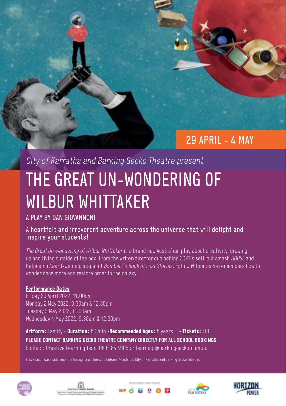### 29 APRIL - 4 MAY

## City of Karratha and Barking Gecko Theatre present THE GREAT UN-WONDERING OF WILBUR WHITTAKER

#### A PLAY BY DAN GIOVANNONI

#### A heartfelt and irreverent adventure across the universe that will delight and inspire your students!

The Great Un-Wondering of Wilbur Whittaker is a brand new Australian play about creativity, growing up and living outside of the box. From the writer/director duo behind 2021's sell-out smash HOUSE and Helpmann Award-winning stage hit Bambert's Book of Lost Stories. Follow Wilbur as he remembers how to wonder once more and restore order to the galaxy.

#### **Performance Dates**

Friday 29 April 2022, 11.00am Monday 2 May 2022, 9.30am & 12.30pm Tuesday 3 May 2022, 11.00am Wednesday 4 May 2022, 9.30am & 12.30pm

**Artform:** Family • **Duration:** 60 min •**Recommended Ages:** 8 years + **• Tickets:** FREE **PLEASE CONTACT BARKING GECKO THEATRE COMPANY DIRECTLY FOR ALL SCHOOL BOOKINGS** Contact: Creative Learning Team 08 6184 4905 or learning@barkinggecko.com.au

This season was made possible through a partnership between Woodside, City of Karratha and Barking Gecko Theatre.









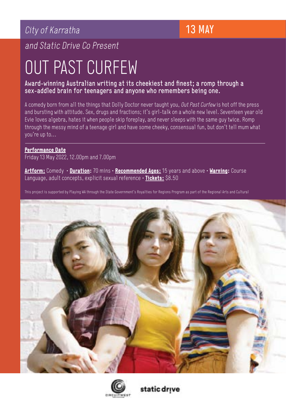### City of Karratha

and Static Drive Co Present

## OUT PAST CURFEW

#### Award-winning Australian writing at its cheekiest and finest; a romp through a sex-addled brain for teenagers and anyone who remembers being one.

A comedy born from all the things that Dolly Doctor never taught you, Out Past Curfew is hot off the press and bursting with attitude. Sex, drugs and fractions; it's girl-talk on a whole new level. Seventeen year old Evie loves algebra, hates it when people skip foreplay, and never sleeps with the same guy twice. Romp through the messy mind of a teenage girl and have some cheeky, consensual fun, but don't tell mum what you're up to…

#### **Performance Date**

Friday 13 May 2022, 12.00pm and 7.00pm

**Artform:** Comedy • **Duration:** 70 mins • **Recommended Ages:** 15 years and above • **Warning:** Course Language, adult concepts, explicit sexual reference • **Tickets:** \$8.50

This project is supported by Playing WA through the State Government's Royalties for Regions Program as part of the Regional Arts and Cultural





static drive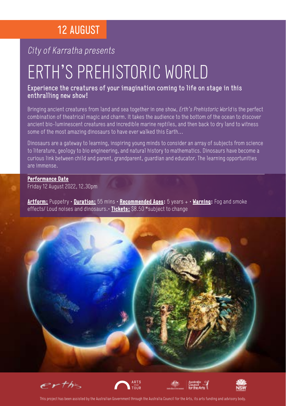### 12 AUGUST

#### City of Karratha presents

## ERTH'S PREHISTORIC WORLD

#### Experience the creatures of your imagination coming to life on stage in this enthralling new show!

Bringing ancient creatures from land and sea together in one show, Erth's Prehistoric World is the perfect combination of theatrical magic and charm. It takes the audience to the bottom of the ocean to discover ancient bio-luminescent creatures and incredible marine reptiles, and then back to dry land to witness some of the most amazing dinosaurs to have ever walked this Earth...

Dinosaurs are a gateway to learning, inspiring young minds to consider an array of subjects from science to literature, geology to bio engineering, and natural history to mathematics. Dinosaurs have become a curious link between child and parent, grandparent, guardian and educator. The learning opportunities are immense.

#### **Performance Date**

Friday 12 August 2022, 12.30pm

**Artform:** Puppetry • **Duration:** 55 mins • **Recommended Ages:** 5 years + • **Warning:** Fog and smoke effects/ Loud noises and dinosaurs.• **Tickets:** \$8.50 \*subject to change













This project has been assisted by the Australian Government through the Australia Council for the Arts, its arts funding and advisory body.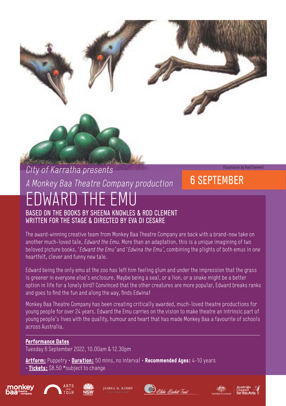### City of Karratha presents A Monkey Baa Theatre Company production EDWARD THE EMU BASED ON THE BOOKS BY SHEENA KNOWLES & ROD CLEMENT

WRITTEN FOR THE STAGE & DIRECTED BY EVA DI CESARE

The award-winning creative team from Monkey Baa Theatre Company are back with a brand-new take on another much-loved tale, *Edward the Emu*. More than an adaptation, this is a unique imagining of two beloved picture books, 'Edward the Emu' and 'Edwina the Emu', combining the plights of both emus in one heartfelt, clever and funny new tale.

Edward being the only emu at the zoo has left him feeling glum and under the impression that the grass is greener in everyone else's enclosure. Maybe being a seal, or a lion, or a snake might be a better option in life for a lonely bird? Convinced that the other creatures are more popular, Edward breaks ranks and goes to find the fun and along the way, finds Edwina!

Monkey Baa Theatre Company has been creating critically awarded, much-loved theatre productions for young people for over 24 years. Edward the Emu carries on the vision to make theatre an intrinsic part of young people's lives with the quality, humour and heart that has made Monkey Baa a favourite of schools across Australia.

#### **Performance Dates**

Tuesday 6 September 2022, 10.00am & 12.30pm

**Artform:** Puppetry • **Duration:** 50 mins, no interval • **Recommended Ages:** 4-10 years • **Tickets:** \$8.50 \*subject to change











6 SEPTEMBER

Illustration by Rod Clement

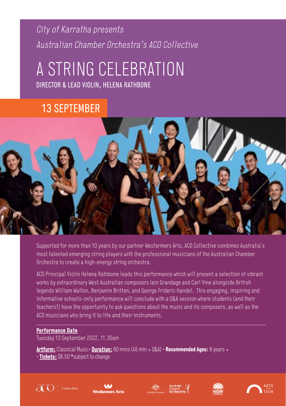### City of Karratha presents Australian Chamber Orchestra's ACO Collective

## A STRING CELEBRATION DIRECTOR & LEAD VIOLIN, HELENA RATHBONE

### 13 SEPTEMBER



Supported for more than 10 years by our partner Wesfarmers Arts, ACO Collective combines Australia's most talented emerging string players with the professional musicians of the Australian Chamber Orchestra to create a high-energy string orchestra.

ACO Principal Violin Helena Rathbone leads this performance which will present a selection of vibrant works by extraordinary West Australian composers Iain Grandage and Carl Vine alongside British legends William Walton, Benjamin Britten, and George Frideric Handel. This engaging, inspiring and informative schools-only performance will conclude with a Q&A session where students (and their teachers!) have the opportunity to ask questions about the music and its composers, as well as the ACO musicians who bring it to life and their instruments.

#### **Performance Date**

Tuesday 13 September 2022, 11.30am

**Artform:** Classical Music• **Duration:** 60 mins (45 min + Q&A) • **Recommended Ages:** 8 years + • **Tickets:** \$8.50 \*subject to change









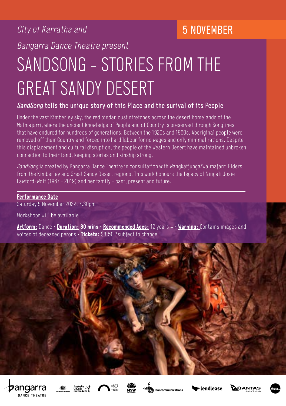### City of Karratha and

### 5 NOVEMBER

Bangarra Dance Theatre present

## SANDSONG - STORIES FROM THE GREAT SANDY DESERT

#### SandSong tells the unique story of this Place and the surival of its People

Under the vast Kimberley sky, the red pindan dust stretches across the desert homelands of the Walmajarri, where the ancient knowledge of People and of Country is preserved through Songlines that have endured for hundreds of generations. Between the 1920s and 1960s, Aboriginal people were removed off their Country and forced into hard labour for no wages and only minimal rations. Despite this displacement and cultural disruption, the people of the Western Desert have maintained unbroken connection to their Land, keeping stories and kinship strong.

SandSong is created by Bangarra Dance Theatre in consultation with Wangkatiunga/Walmajarri Elders from the Kimberley and Great Sandy Desert regions. This work honours the legacy of Ningali Josie Lawford-Wolf (1967 – 2019) and her family - past, present and future.

#### **Performance Date**

Saturday 5 November 2022, 7.30pm

Workshops will be available

**Artform:** Dance • **Duration: 80 mins** • **Recommended Ages:** 12 years + • **Warning:** Contains images and voices of deceased perons • **Tickets:** \$8.50 \*subject to change













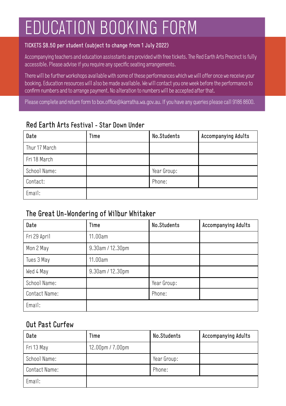## EDUCATION BOOKING FORM

#### TICKETS \$8.50 per student (subject to change from 1 July 2022)

Accompanying teachers and education assisstants are provided with free tickets. The Red Earth Arts Precinct is fully accessible. Please advise if you require any specific seating arrangements.

There will be further workshops available with some of these performances which we will offer once we receive your booking. Education resources will also be made available. We will contact you one week before the performance to confirm numbers and to arrange payment. No alteration to numbers will be accepted after that.

Please complete and return form to box.office@karratha.wa.gov.au. If you have any queries please call 9186 8600.

#### Red Earth Arts Festival - Star Down Under

| Date          | Time | No.Students | Accompanying Adults |
|---------------|------|-------------|---------------------|
| Thur 17 March |      |             |                     |
| Fri 18 March  |      |             |                     |
| School Name:  |      | Year Group: |                     |
| Contact:      |      | Phone:      |                     |
| Email:        |      |             |                     |

#### The Great Un-Wondering of Wilbur Whitaker

| Date          | Time             | No.Students | <b>Accompanying Adults</b> |
|---------------|------------------|-------------|----------------------------|
| Fri 29 April  | 11.00am          |             |                            |
| Mon 2 May     | 9.30am / 12.30pm |             |                            |
| Tues 3 May    | 11.00am          |             |                            |
| Wed 4 May     | 9.30am / 12.30pm |             |                            |
| School Name:  |                  | Year Group: |                            |
| Contact Name: |                  | Phone:      |                            |
| Email:        |                  |             |                            |

#### Out Past Curfew

| Date          | Time             | No.Students | Accompanying Adults |
|---------------|------------------|-------------|---------------------|
| Fri 13 May    | 12.00pm / 7.00pm |             |                     |
| School Name:  |                  | Year Group: |                     |
| Contact Name: |                  | Phone:      |                     |
| Email:        |                  |             |                     |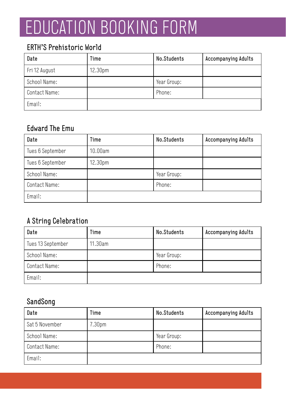## EDUCATION BOOKING FORM

#### ERTH'S Prehistoric World

| Date          | Time                | No.Students | <b>Accompanying Adults</b> |
|---------------|---------------------|-------------|----------------------------|
| Fri 12 August | 12.30 <sub>pm</sub> |             |                            |
| School Name:  |                     | Year Group: |                            |
| Contact Name: |                     | Phone:      |                            |
| Email:        |                     |             |                            |

#### Edward The Emu

| Date             | Time                | No.Students | <b>Accompanying Adults</b> |
|------------------|---------------------|-------------|----------------------------|
| Tues 6 September | 10.00am             |             |                            |
| Tues 6 September | 12.30 <sub>pm</sub> |             |                            |
| School Name:     |                     | Year Group: |                            |
| Contact Name:    |                     | Phone:      |                            |
| Email:           |                     |             |                            |

#### A String Celebration

| Date              | Time    | No.Students | <b>Accompanying Adults</b> |
|-------------------|---------|-------------|----------------------------|
| Tues 13 September | 11.30am |             |                            |
| School Name:      |         | Year Group: |                            |
| Contact Name:     |         | Phone:      |                            |
| Email:            |         |             |                            |

#### SandSong

| Date           | Time               | No.Students | Accompanying Adults |
|----------------|--------------------|-------------|---------------------|
| Sat 5 November | 7.30 <sub>pm</sub> |             |                     |
| School Name:   |                    | Year Group: |                     |
| Contact Name:  |                    | Phone:      |                     |
| Email:         |                    |             |                     |